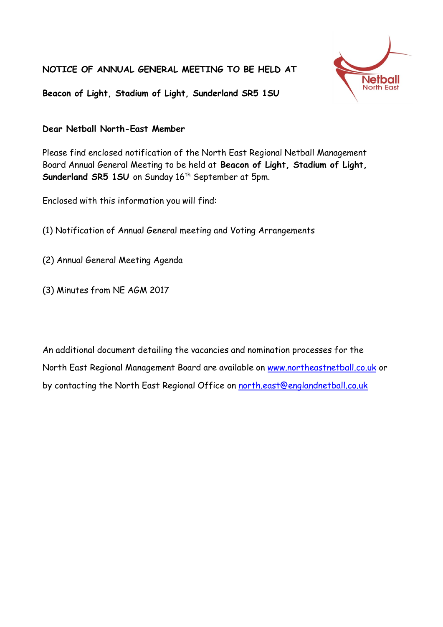**NOTICE OF ANNUAL GENERAL MEETING TO BE HELD AT** 



**Beacon of Light, Stadium of Light, Sunderland SR5 1SU**

## **Dear Netball North-East Member**

Please find enclosed notification of the North East Regional Netball Management Board Annual General Meeting to be held at **Beacon of Light, Stadium of Light,**  Sunderland SR5 1SU on Sunday 16<sup>th</sup> September at 5pm.

Enclosed with this information you will find:

- (1) Notification of Annual General meeting and Voting Arrangements
- (2) Annual General Meeting Agenda
- (3) Minutes from NE AGM 2017

An additional document detailing the vacancies and nomination processes for the North East Regional Management Board are available on www.northeastnetball.co.uk or by contacting the North East Regional Office on north.east@englandnetball.co.uk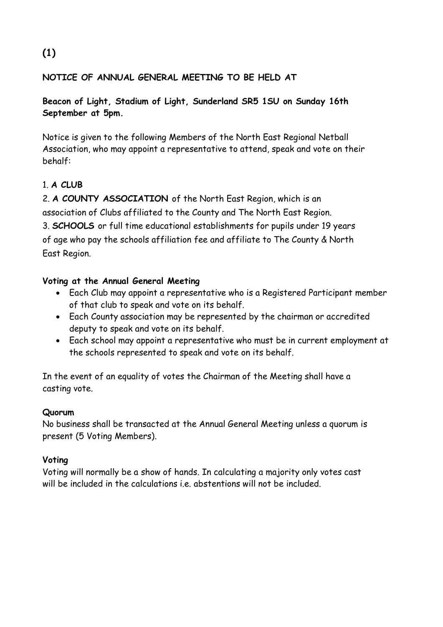## **NOTICE OF ANNUAL GENERAL MEETING TO BE HELD AT**

**Beacon of Light, Stadium of Light, Sunderland SR5 1SU on Sunday 16th September at 5pm.**

Notice is given to the following Members of the North East Regional Netball Association, who may appoint a representative to attend, speak and vote on their behalf:

## 1. **A CLUB**

2. **A COUNTY ASSOCIATION** of the North East Region, which is an association of Clubs affiliated to the County and The North East Region. 3. **SCHOOLS** or full time educational establishments for pupils under 19 years of age who pay the schools affiliation fee and affiliate to The County & North East Region.

## **Voting at the Annual General Meeting**

- Each Club may appoint a representative who is a Registered Participant member of that club to speak and vote on its behalf.
- Each County association may be represented by the chairman or accredited deputy to speak and vote on its behalf.
- Each school may appoint a representative who must be in current employment at the schools represented to speak and vote on its behalf.

In the event of an equality of votes the Chairman of the Meeting shall have a casting vote.

## **Quorum**

No business shall be transacted at the Annual General Meeting unless a quorum is present (5 Voting Members).

## **Voting**

Voting will normally be a show of hands. In calculating a majority only votes cast will be included in the calculations i.e. abstentions will not be included.

# **(1)**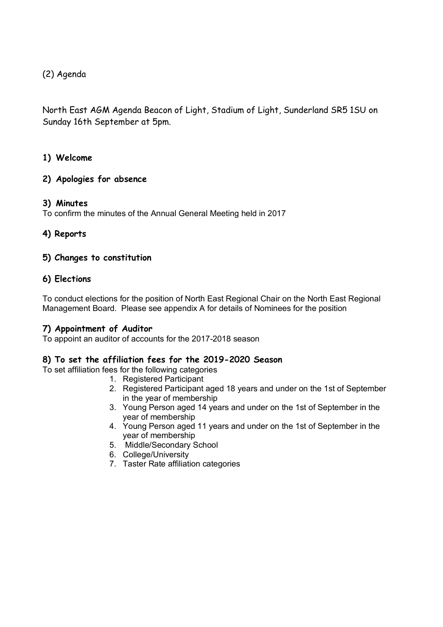(2) Agenda

North East AGM Agenda Beacon of Light, Stadium of Light, Sunderland SR5 1SU on Sunday 16th September at 5pm.

### **1) Welcome**

### **2) Apologies for absence**

#### **3) Minutes**

To confirm the minutes of the Annual General Meeting held in 2017

### **4) Reports**

#### **5) Changes to constitution**

### **6) Elections**

To conduct elections for the position of North East Regional Chair on the North East Regional Management Board. Please see appendix A for details of Nominees for the position

### **7) Appointment of Auditor**

To appoint an auditor of accounts for the 2017-2018 season

#### **8) To set the affiliation fees for the 2019-2020 Season**

To set affiliation fees for the following categories

- 1. Registered Participant
- 2. Registered Participant aged 18 years and under on the 1st of September in the year of membership
- 3. Young Person aged 14 years and under on the 1st of September in the year of membership
- 4. Young Person aged 11 years and under on the 1st of September in the year of membership
- 5. Middle/Secondary School
- 6. College/University
- 7. Taster Rate affiliation categories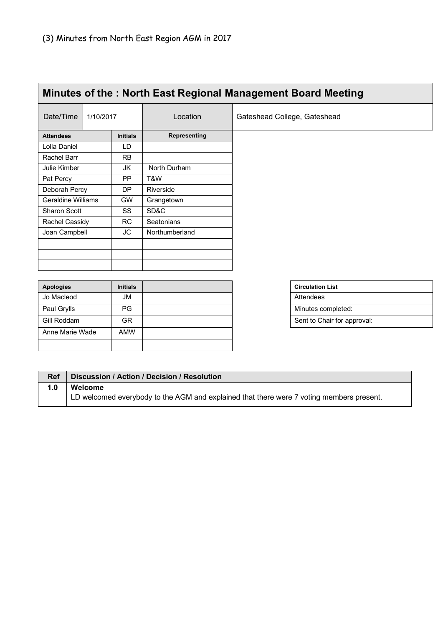| Minutes of the: North East Regional Management Board Meeting |           |                 |                   |                              |
|--------------------------------------------------------------|-----------|-----------------|-------------------|------------------------------|
| Date/Time                                                    | 1/10/2017 |                 | Location          | Gateshead College, Gateshead |
| <b>Attendees</b>                                             |           | <b>Initials</b> | Representing      |                              |
| Lolla Daniel                                                 |           | LD.             |                   |                              |
| Rachel Barr                                                  |           | <b>RB</b>       |                   |                              |
| Julie Kimber                                                 |           | JK              | North Durham      |                              |
| Pat Percy                                                    |           | <b>PP</b>       | T&W               |                              |
| Deborah Percy                                                |           | <b>DP</b>       | Riverside         |                              |
| <b>Geraldine Williams</b>                                    |           | <b>GW</b>       | Grangetown        |                              |
| Sharon Scott                                                 |           | SS              | SD&C              |                              |
| Rachel Cassidy                                               |           | <b>RC</b>       | <b>Seatonians</b> |                              |
| Joan Campbell                                                |           | JC              | Northumberland    |                              |
|                                                              |           |                 |                   |                              |
|                                                              |           |                 |                   |                              |
|                                                              |           |                 |                   |                              |
|                                                              |           |                 |                   |                              |
| <b>Apologies</b>                                             |           | <b>Initials</b> |                   | <b>Circulation List</b>      |

| <b>Apologies</b> | <b>Initials</b> |  |  | <b>Circulation List</b>     |
|------------------|-----------------|--|--|-----------------------------|
| Jo Macleod       | JM              |  |  | Attendees                   |
| Paul Grylls      | PG.             |  |  | Minutes completed:          |
| Gill Roddam      | GR              |  |  | Sent to Chair for approval: |
| Anne Marie Wade  | <b>AMW</b>      |  |  |                             |
|                  |                 |  |  |                             |

| <b>Circulation List</b>     |
|-----------------------------|
| Attendees                   |
| Minutes completed:          |
| Sent to Chair for approval: |

| Ref | Discussion / Action / Decision / Resolution                                              |
|-----|------------------------------------------------------------------------------------------|
| 1.0 | Welcome                                                                                  |
|     | LD welcomed everybody to the AGM and explained that there were 7 voting members present. |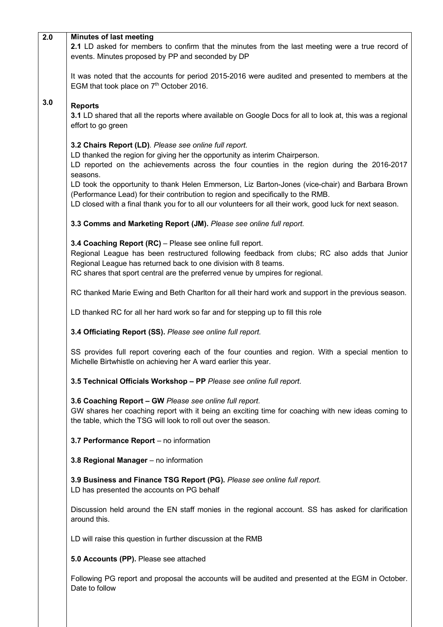| 2.0 | <b>Minutes of last meeting</b><br>2.1 LD asked for members to confirm that the minutes from the last meeting were a true record of<br>events. Minutes proposed by PP and seconded by DP                                                                                                                        |  |  |  |
|-----|----------------------------------------------------------------------------------------------------------------------------------------------------------------------------------------------------------------------------------------------------------------------------------------------------------------|--|--|--|
|     | It was noted that the accounts for period 2015-2016 were audited and presented to members at the<br>EGM that took place on 7 <sup>th</sup> October 2016.                                                                                                                                                       |  |  |  |
| 3.0 | <b>Reports</b><br>3.1 LD shared that all the reports where available on Google Docs for all to look at, this was a regional<br>effort to go green                                                                                                                                                              |  |  |  |
|     | 3.2 Chairs Report (LD). Please see online full report.<br>LD thanked the region for giving her the opportunity as interim Chairperson.<br>LD reported on the achievements across the four counties in the region during the 2016-2017<br>seasons.                                                              |  |  |  |
|     | LD took the opportunity to thank Helen Emmerson, Liz Barton-Jones (vice-chair) and Barbara Brown<br>(Performance Lead) for their contribution to region and specifically to the RMB.<br>LD closed with a final thank you for to all our volunteers for all their work, good luck for next season.              |  |  |  |
|     | 3.3 Comms and Marketing Report (JM). Please see online full report.                                                                                                                                                                                                                                            |  |  |  |
|     | 3.4 Coaching Report (RC) - Please see online full report.<br>Regional League has been restructured following feedback from clubs; RC also adds that Junior<br>Regional League has returned back to one division with 8 teams.<br>RC shares that sport central are the preferred venue by umpires for regional. |  |  |  |
|     | RC thanked Marie Ewing and Beth Charlton for all their hard work and support in the previous season.                                                                                                                                                                                                           |  |  |  |
|     | LD thanked RC for all her hard work so far and for stepping up to fill this role                                                                                                                                                                                                                               |  |  |  |
|     | 3.4 Officiating Report (SS). Please see online full report.                                                                                                                                                                                                                                                    |  |  |  |
|     | SS provides full report covering each of the four counties and region. With a special mention to<br>Michelle Birtwhistle on achieving her A ward earlier this year.                                                                                                                                            |  |  |  |
|     | 3.5 Technical Officials Workshop - PP Please see online full report.                                                                                                                                                                                                                                           |  |  |  |
|     | 3.6 Coaching Report - GW Please see online full report.<br>GW shares her coaching report with it being an exciting time for coaching with new ideas coming to<br>the table, which the TSG will look to roll out over the season.                                                                               |  |  |  |
|     | 3.7 Performance Report - no information                                                                                                                                                                                                                                                                        |  |  |  |
|     | 3.8 Regional Manager - no information                                                                                                                                                                                                                                                                          |  |  |  |
|     | 3.9 Business and Finance TSG Report (PG). Please see online full report.<br>LD has presented the accounts on PG behalf                                                                                                                                                                                         |  |  |  |
|     | Discussion held around the EN staff monies in the regional account. SS has asked for clarification<br>around this.                                                                                                                                                                                             |  |  |  |
|     | LD will raise this question in further discussion at the RMB                                                                                                                                                                                                                                                   |  |  |  |
|     | 5.0 Accounts (PP). Please see attached                                                                                                                                                                                                                                                                         |  |  |  |
|     | Following PG report and proposal the accounts will be audited and presented at the EGM in October.<br>Date to follow                                                                                                                                                                                           |  |  |  |
|     |                                                                                                                                                                                                                                                                                                                |  |  |  |